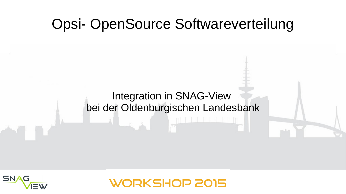#### Opsi- OpenSource Softwareverteilung

#### Integration in SNAG-View bei der Oldenburgischen Landesbank



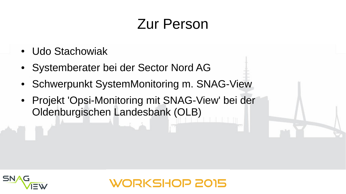### Zur Person

**RKSHOP 2015** 

- Udo Stachowiak
- Systemberater bei der Sector Nord AG
- Schwerpunkt SystemMonitoring m. SNAG-View
- Projekt 'Opsi-Monitoring mit SNAG-View' bei der Oldenburgischen Landesbank (OLB)

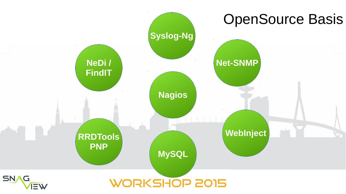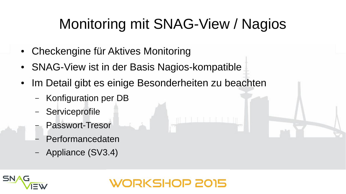# Monitoring mit SNAG-View / Nagios

- Checkengine für Aktives Monitoring
- SNAG-View ist in der Basis Nagios-kompatible
- Im Detail gibt es einige Besonderheiten zu beachten
	- Konfiguration per DB
	- **Serviceprofile**
	- Passwort-Tresor
	- Performancedaten
	- Appliance (SV3.4)

#### **KSHOP 2015**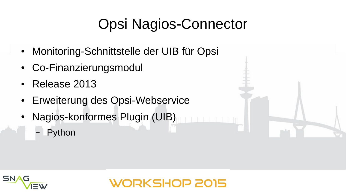## Opsi Nagios-Connector

- Monitoring-Schnittstelle der UIB für Opsi
- Co-Finanzierungsmodul
- Release 2013
- Erweiterung des Opsi-Webservice
- Nagios-konformes Plugin (UIB)
	- **Python**

SN,

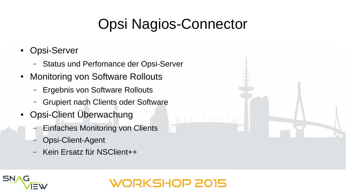# Opsi Nagios-Connector

- Opsi-Server
	- Status und Perfomance der Opsi-Server
- Monitoring von Software Rollouts
	- Ergebnis von Software Rollouts
	- Grupiert nach Clients oder Software
- Opsi-Client Überwachung
	- Einfaches Monitoring von Clients
	- Opsi-Client-Agent
	- Kein Ersatz für NSClient++

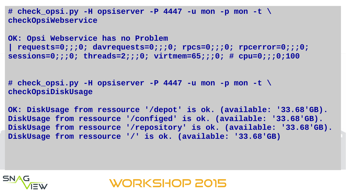**# check\_opsi.py -H opsiserver -P 4447 -u mon -p mon -t \ checkOpsiWebservice**

```
OK: Opsi Webservice has no Problem 
| requests=0;;;0; davrequests=0;;;0; rpcs=0;;;0; rpcerror=0;;;0; 
sessions=0;;;0; threads=2;;;0; virtmem=65;;;0; # cpu=0;;;0;100
```
**# check\_opsi.py -H opsiserver -P 4447 -u mon -p mon -t \ checkOpsiDiskUsage**

**OK: DiskUsage from ressource '/depot' is ok. (available: '33.68'GB). DiskUsage from ressource '/configed' is ok. (available: '33.68'GB). DiskUsage from ressource '/repository' is ok. (available: '33.68'GB). DiskUsage from ressource '/' is ok. (available: '33.68'GB)**

**WORKSHOP 2015** 

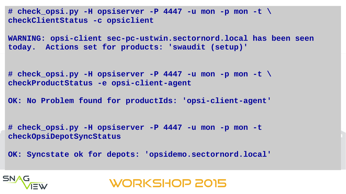**# check\_opsi.py -H opsiserver -P 4447 -u mon -p mon -t \ checkClientStatus -c opsiclient**

**WARNING: opsi-client sec-pc-ustwin.sectornord.local has been seen today. Actions set for products: 'swaudit (setup)'**

**# check\_opsi.py -H opsiserver -P 4447 -u mon -p mon -t \ checkProductStatus -e opsi-client-agent**

**OK: No Problem found for productIds: 'opsi-client-agent'**

**# check\_opsi.py -H opsiserver -P 4447 -u mon -p mon -t checkOpsiDepotSyncStatus**

**OK: Syncstate ok for depots: 'opsidemo.sectornord.local'**